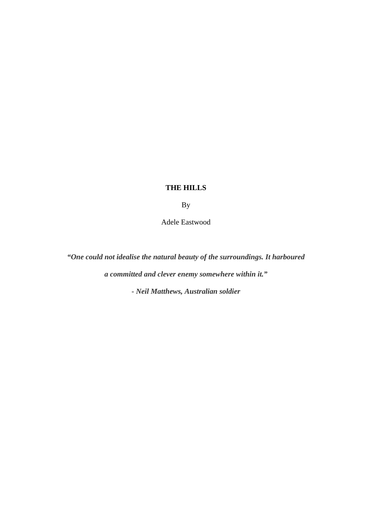## **THE HILLS**

By

Adele Eastwood

*"One could not idealise the natural beauty of the surroundings. It harboured a committed and clever enemy somewhere within it."*

*- Neil Matthews, Australian soldier*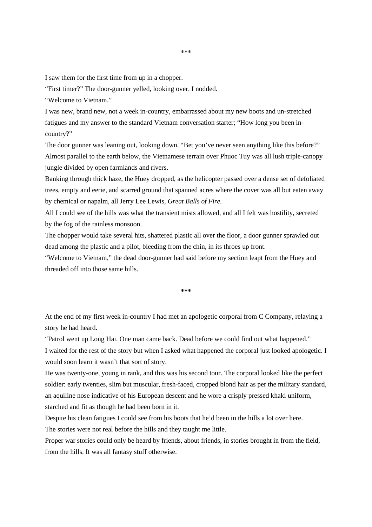I saw them for the first time from up in a chopper.

"First timer?" The door-gunner yelled, looking over. I nodded.

"Welcome to Vietnam."

I was new, brand new, not a week in-country, embarrassed about my new boots and un-stretched fatigues and my answer to the standard Vietnam conversation starter; "How long you been incountry?"

The door gunner was leaning out, looking down. "Bet you've never seen anything like this before?" Almost parallel to the earth below, the Vietnamese terrain over Phuoc Tuy was all lush triple-canopy jungle divided by open farmlands and rivers.

Banking through thick haze, the Huey dropped, as the helicopter passed over a dense set of defoliated trees, empty and eerie, and scarred ground that spanned acres where the cover was all but eaten away by chemical or napalm, all Jerry Lee Lewis, *Great Balls of Fire.*

All I could see of the hills was what the transient mists allowed, and all I felt was hostility, secreted by the fog of the rainless monsoon.

The chopper would take several hits, shattered plastic all over the floor, a door gunner sprawled out dead among the plastic and a pilot, bleeding from the chin, in its throes up front.

"Welcome to Vietnam," the dead door-gunner had said before my section leapt from the Huey and threaded off into those same hills.

**\*\*\***

At the end of my first week in-country I had met an apologetic corporal from C Company, relaying a story he had heard.

"Patrol went up Long Hai. One man came back. Dead before we could find out what happened."

I waited for the rest of the story but when I asked what happened the corporal just looked apologetic. I would soon learn it wasn't that sort of story.

He was twenty-one, young in rank, and this was his second tour. The corporal looked like the perfect soldier: early twenties, slim but muscular, fresh-faced, cropped blond hair as per the military standard, an aquiline nose indicative of his European descent and he wore a crisply pressed khaki uniform, starched and fit as though he had been born in it.

Despite his clean fatigues I could see from his boots that he'd been in the hills a lot over here.

The stories were not real before the hills and they taught me little.

Proper war stories could only be heard by friends, about friends, in stories brought in from the field, from the hills. It was all fantasy stuff otherwise.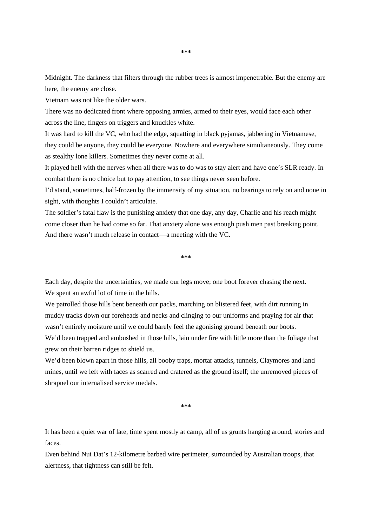Midnight. The darkness that filters through the rubber trees is almost impenetrable. But the enemy are here, the enemy are close.

Vietnam was not like the older wars.

There was no dedicated front where opposing armies, armed to their eyes, would face each other across the line, fingers on triggers and knuckles white.

It was hard to kill the VC, who had the edge, squatting in black pyjamas, jabbering in Vietnamese, they could be anyone, they could be everyone. Nowhere and everywhere simultaneously. They come as stealthy lone killers. Sometimes they never come at all.

It played hell with the nerves when all there was to do was to stay alert and have one's SLR ready. In combat there is no choice but to pay attention, to see things never seen before.

I'd stand, sometimes, half-frozen by the immensity of my situation, no bearings to rely on and none in sight, with thoughts I couldn't articulate.

The soldier's fatal flaw is the punishing anxiety that one day, any day, Charlie and his reach might come closer than he had come so far. That anxiety alone was enough push men past breaking point. And there wasn't much release in contact—a meeting with the VC.

**\*\*\***

Each day, despite the uncertainties, we made our legs move; one boot forever chasing the next. We spent an awful lot of time in the hills.

We patrolled those hills bent beneath our packs, marching on blistered feet, with dirt running in muddy tracks down our foreheads and necks and clinging to our uniforms and praying for air that wasn't entirely moisture until we could barely feel the agonising ground beneath our boots. We'd been trapped and ambushed in those hills, lain under fire with little more than the foliage that grew on their barren ridges to shield us.

We'd been blown apart in those hills, all booby traps, mortar attacks, tunnels, Claymores and land mines, until we left with faces as scarred and cratered as the ground itself; the unremoved pieces of shrapnel our internalised service medals.

**\*\*\***

It has been a quiet war of late, time spent mostly at camp, all of us grunts hanging around, stories and faces.

Even behind Nui Dat's 12-kilometre barbed wire perimeter, surrounded by Australian troops, that alertness, that tightness can still be felt.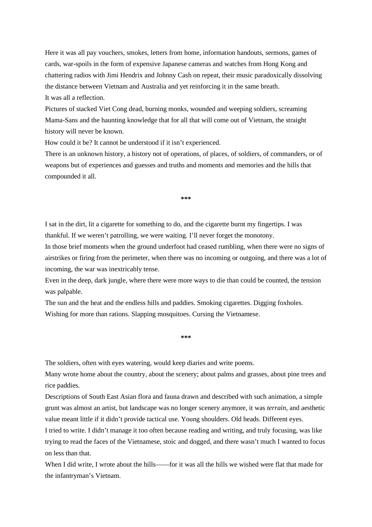Here it was all pay vouchers, smokes, letters from home, information handouts, sermons, games of cards, war-spoils in the form of expensive Japanese cameras and watches from Hong Kong and chattering radios with Jimi Hendrix and Johnny Cash on repeat, their music paradoxically dissolving the distance between Vietnam and Australia and yet reinforcing it in the same breath. It was all a reflection.

Pictures of stacked Viet Cong dead, burning monks, wounded and weeping soldiers, screaming Mama-Sans and the haunting knowledge that for all that will come out of Vietnam, the straight history will never be known.

How could it be? It cannot be understood if it isn't experienced.

There is an unknown history, a history not of operations, of places, of soldiers, of commanders, or of weapons but of experiences and guesses and truths and moments and memories and the hills that compounded it all.

**\*\*\***

I sat in the dirt, lit a cigarette for something to do, and the cigarette burnt my fingertips. I was thankful. If we weren't patrolling, we were waiting. I'll never forget the monotony.

In those brief moments when the ground underfoot had ceased rumbling, when there were no signs of airstrikes or firing from the perimeter, when there was no incoming or outgoing, and there was a lot of incoming, the war was inextricably tense.

Even in the deep, dark jungle, where there were more ways to die than could be counted, the tension was palpable.

The sun and the heat and the endless hills and paddies. Smoking cigarettes. Digging foxholes. Wishing for more than rations. Slapping mosquitoes. Cursing the Vietnamese.

The soldiers, often with eyes watering, would keep diaries and write poems.

Many wrote home about the country, about the scenery; about palms and grasses, about pine trees and rice paddies.

**\*\*\***

Descriptions of South East Asian flora and fauna drawn and described with such animation, a simple grunt was almost an artist, but landscape was no longer scenery anymore, it was *terrain*, and aesthetic value meant little if it didn't provide tactical use. Young shoulders. Old heads. Different eyes.

I tried to write. I didn't manage it too often because reading and writing, and truly focusing, was like trying to read the faces of the Vietnamese, stoic and dogged, and there wasn't much I wanted to focus on less than that.

When I did write, I wrote about the hills——for it was all the hills we wished were flat that made for the infantryman's Vietnam.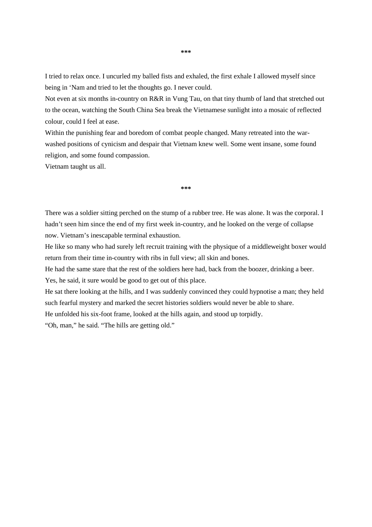I tried to relax once. I uncurled my balled fists and exhaled, the first exhale I allowed myself since being in 'Nam and tried to let the thoughts go. I never could.

Not even at six months in-country on R&R in Vung Tau, on that tiny thumb of land that stretched out to the ocean, watching the South China Sea break the Vietnamese sunlight into a mosaic of reflected colour, could I feel at ease.

Within the punishing fear and boredom of combat people changed. Many retreated into the warwashed positions of cynicism and despair that Vietnam knew well. Some went insane, some found religion, and some found compassion.

Vietnam taught us all.

**\*\*\***

There was a soldier sitting perched on the stump of a rubber tree. He was alone. It was the corporal. I hadn't seen him since the end of my first week in-country, and he looked on the verge of collapse now. Vietnam's inescapable terminal exhaustion.

He like so many who had surely left recruit training with the physique of a middleweight boxer would return from their time in-country with ribs in full view; all skin and bones.

He had the same stare that the rest of the soldiers here had, back from the boozer, drinking a beer.

Yes, he said, it sure would be good to get out of this place.

He sat there looking at the hills, and I was suddenly convinced they could hypnotise a man; they held such fearful mystery and marked the secret histories soldiers would never be able to share.

He unfolded his six-foot frame, looked at the hills again, and stood up torpidly.

"Oh, man," he said. "The hills are getting old."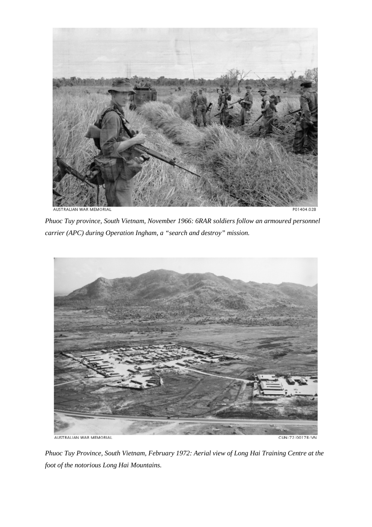

*Phuoc Tuy province, South Vietnam, November 1966: 6RAR soldiers follow an armoured personnel carrier (APC) during Operation Ingham, a "search and destroy" mission.* 



*Phuoc Tuy Province, South Vietnam, February 1972: Aerial view of Long Hai Training Centre at the foot of the notorious Long Hai Mountains.*